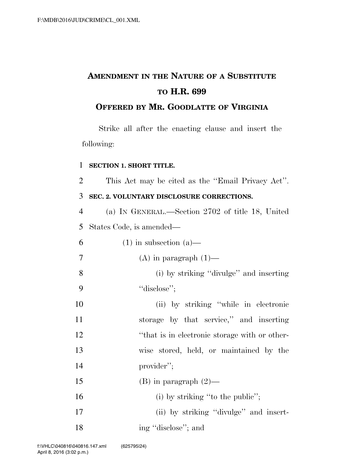# **AMENDMENT IN THE NATURE OF A SUBSTITUTE TO H.R. 699**

# **OFFERED BY MR. GOODLATTE OF VIRGINIA**

Strike all after the enacting clause and insert the following:

# **SECTION 1. SHORT TITLE.**

This Act may be cited as the ''Email Privacy Act''.

# **SEC. 2. VOLUNTARY DISCLOSURE CORRECTIONS.**

 (a) IN GENERAL.—Section 2702 of title 18, United States Code, is amended—

| 6              | $(1)$ in subsection $(a)$ —                   |
|----------------|-----------------------------------------------|
| $\overline{7}$ | $(A)$ in paragraph $(1)$ —                    |
| 8              | (i) by striking "divulge" and inserting       |
| 9              | "disclose";                                   |
| 10             | (ii) by striking "while in electronic         |
| 11             | storage by that service," and inserting       |
| 12             | "that is in electronic storage with or other- |
| 13             | wise stored, held, or maintained by the       |
| 14             | provider";                                    |
| 15             | $(B)$ in paragraph $(2)$ —                    |
| 16             | (i) by striking "to the public";              |
| 17             | (ii) by striking "divulge" and insert-        |
| 18             | ing "disclose"; and                           |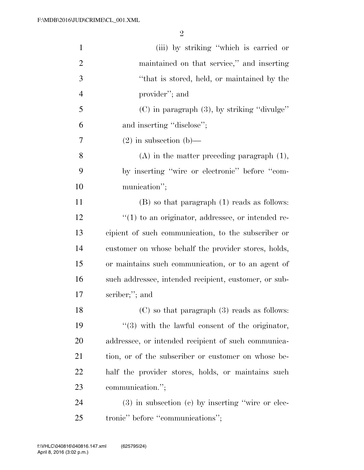| $\mathbf{1}$   | (iii) by striking "which is carried or                |
|----------------|-------------------------------------------------------|
| $\overline{2}$ | maintained on that service," and inserting            |
| 3              | "that is stored, held, or maintained by the           |
| $\overline{4}$ | provider"; and                                        |
| 5              | $(C)$ in paragraph $(3)$ , by striking "divulge"      |
| 6              | and inserting "disclose";                             |
| 7              | $(2)$ in subsection $(b)$ —                           |
| 8              | $(A)$ in the matter preceding paragraph $(1)$ ,       |
| 9              | by inserting "wire or electronic" before "com-        |
| 10             | munication";                                          |
| 11             | $(B)$ so that paragraph $(1)$ reads as follows:       |
| 12             | $"(1)$ to an originator, addressee, or intended re-   |
| 13             | cipient of such communication, to the subscriber or   |
| 14             | customer on whose behalf the provider stores, holds,  |
| 15             | or maintains such communication, or to an agent of    |
| 16             | such addressee, intended recipient, customer, or sub- |
| 17             | scriber;"; and                                        |
| 18             | $(C)$ so that paragraph $(3)$ reads as follows:       |
| 19             | $(3)$ with the lawful consent of the originator,      |
| 20             | addressee, or intended recipient of such communica-   |
| 21             | tion, or of the subscriber or customer on whose be-   |
| 22             | half the provider stores, holds, or maintains such    |
| 23             | communication.";                                      |
| 24             | $(3)$ in subsection $(c)$ by inserting "wire or elec- |
| 25             | tronic" before "communications";                      |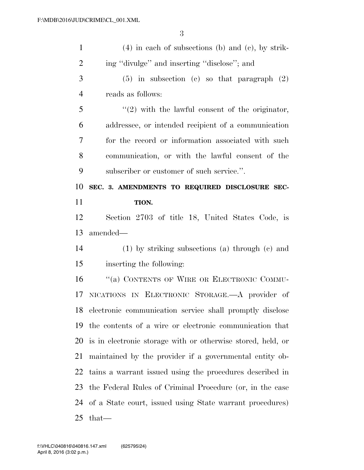| $\mathbf{1}$   | $(4)$ in each of subsections (b) and (c), by strik-         |
|----------------|-------------------------------------------------------------|
| $\overline{2}$ | ing "divulge" and inserting "disclose"; and                 |
| 3              | $(5)$ in subsection (c) so that paragraph $(2)$             |
| $\overline{4}$ | reads as follows:                                           |
| 5              | $\lq(2)$ with the lawful consent of the originator,         |
| 6              | addressee, or intended recipient of a communication         |
| 7              | for the record or information associated with such          |
| 8              | communication, or with the lawful consent of the            |
| 9              | subscriber or customer of such service.".                   |
| 10             | SEC. 3. AMENDMENTS TO REQUIRED DISCLOSURE SEC-              |
| 11             | TION.                                                       |
| 12             | Section 2703 of title 18, United States Code, is            |
| 13             | amended—                                                    |
| 14             | $(1)$ by striking subsections $(a)$ through $(c)$ and       |
|                |                                                             |
| 15             | inserting the following:                                    |
| 16             | "(a) CONTENTS OF WIRE OR ELECTRONIC COMMU-                  |
| 17             | NICATIONS IN ELECTRONIC STORAGE. A provider of              |
| 18             | electronic communication service shall promptly disclose    |
| 19             | the contents of a wire or electronic communication that     |
| 20             | is in electronic storage with or otherwise stored, held, or |
| 21             | maintained by the provider if a governmental entity ob-     |
| 22             | tains a warrant issued using the procedures described in    |
| 23             | the Federal Rules of Criminal Procedure (or, in the case    |
| 24             | of a State court, issued using State warrant procedures)    |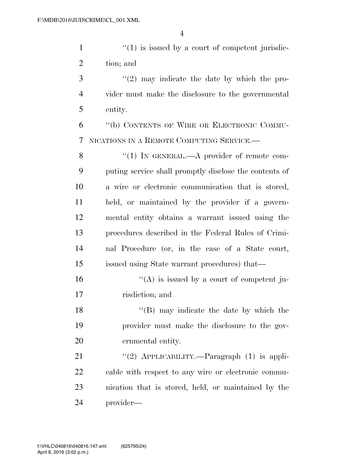$\mathcal{L}(1)$  is issued by a court of competent jurisdic-tion; and

 ''(2) may indicate the date by which the pro- vider must make the disclosure to the governmental entity.

 ''(b) CONTENTS OF WIRE OR ELECTRONIC COMMU-NICATIONS IN A REMOTE COMPUTING SERVICE.—

8 "(1) IN GENERAL.—A provider of remote com- puting service shall promptly disclose the contents of a wire or electronic communication that is stored, held, or maintained by the provider if a govern- mental entity obtains a warrant issued using the procedures described in the Federal Rules of Crimi- nal Procedure (or, in the case of a State court, issued using State warrant procedures) that—

16  $"({\rm A})$  is issued by a court of competent ju-risdiction; and

18 ''(B) may indicate the date by which the provider must make the disclosure to the gov-ernmental entity.

21 "(2) APPLICABILITY.—Paragraph (1) is appli- cable with respect to any wire or electronic commu- nication that is stored, held, or maintained by the provider—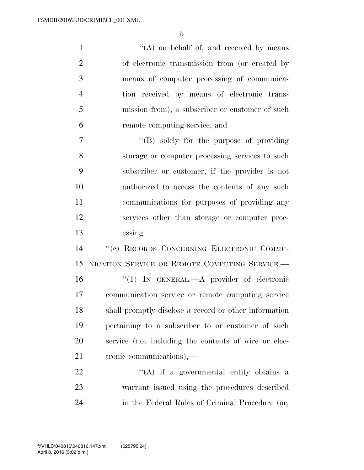1 ''(A) on behalf of, and received by means of electronic transmission from (or created by means of computer processing of communica- tion received by means of electronic trans- mission from), a subscriber or customer of such remote computing service; and

 ''(B) solely for the purpose of providing storage or computer processing services to such subscriber or customer, if the provider is not authorized to access the contents of any such communications for purposes of providing any services other than storage or computer proc-essing.

 ''(c) RECORDS CONCERNING ELECTRONIC COMMU- NICATION SERVICE OR REMOTE COMPUTING SERVICE.— ''(1) IN GENERAL.—A provider of electronic communication service or remote computing service shall promptly disclose a record or other information pertaining to a subscriber to or customer of such service (not including the contents of wire or elec-tronic communications),—

22  $\langle (A)$  if a governmental entity obtains a warrant issued using the procedures described in the Federal Rules of Criminal Procedure (or,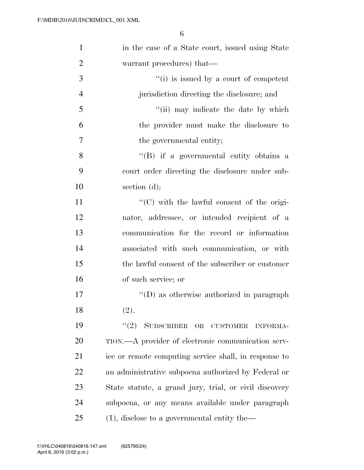| $\mathbf{1}$   | in the case of a State court, issued using State       |
|----------------|--------------------------------------------------------|
| $\overline{2}$ | warrant procedures) that—                              |
| 3              | $f'(i)$ is issued by a court of competent              |
| $\overline{4}$ | jurisdiction directing the disclosure; and             |
| 5              | "(ii) may indicate the date by which                   |
| 6              | the provider must make the disclosure to               |
| $\tau$         | the governmental entity;                               |
| 8              | "(B) if a governmental entity obtains a                |
| 9              | court order directing the disclosure under sub-        |
| 10             | section $(d)$ ;                                        |
| 11             | "(C) with the lawful consent of the origi-             |
| 12             | nator, addressee, or intended recipient of a           |
| 13             | communication for the record or information            |
| 14             | associated with such communication, or with            |
| 15             | the lawful consent of the subscriber or customer       |
| 16             | of such service; or                                    |
| 17             | $\lq\lq$ (D) as otherwise authorized in paragraph      |
| 18             | (2).                                                   |
| 19             | (2)<br>SUBSCRIBER OR CUSTOMER<br><b>INFORMA-</b>       |
| 20             | TION.—A provider of electronic communication serv-     |
| 21             | ice or remote computing service shall, in response to  |
| 22             | an administrative subpoena authorized by Federal or    |
| 23             | State statute, a grand jury, trial, or civil discovery |
| 24             | subpoena, or any means available under paragraph       |
| 25             | $(1)$ , disclose to a governmental entity the-         |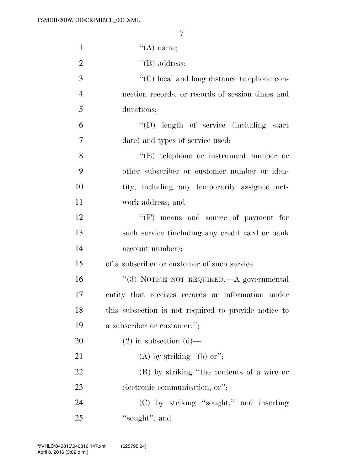| $\mathbf{1}$   | $\lq\lq(A)$ name;                                    |
|----------------|------------------------------------------------------|
| $\overline{2}$ | $\lq\lq(B)$ address;                                 |
| 3              | "(C) local and long distance telephone con-          |
| $\overline{4}$ | nection records, or records of session times and     |
| 5              | durations;                                           |
| 6              | "(D) length of service (including start              |
| $\tau$         | date) and types of service used;                     |
| 8              | $\lq\lq(E)$ telephone or instrument number or        |
| 9              | other subscriber or customer number or iden-         |
| 10             | tity, including any temporarily assigned net-        |
| 11             | work address; and                                    |
| 12             | $\lq\lq(F)$ means and source of payment for          |
| 13             | such service (including any credit card or bank      |
| 14             | account number);                                     |
| 15             | of a subscriber or customer of such service.         |
| 16             | "(3) NOTICE NOT REQUIRED.—A governmental             |
| 17             | entity that receives records or information under    |
| 18             | this subsection is not required to provide notice to |
| 19             | a subscriber or customer.";                          |
| 20             | $(2)$ in subsection $(d)$ —                          |
| 21             | (A) by striking "(b) or";                            |
| 22             | (B) by striking "the contents of a wire or           |
| 23             | electronic communication, or";                       |
| 24             | (C) by striking "sought," and inserting              |
| 25             | "sought"; and                                        |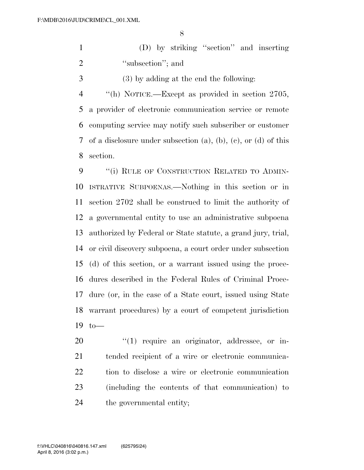(D) by striking ''section'' and inserting 2 "subsection"; and

(3) by adding at the end the following:

 ''(h) NOTICE.—Except as provided in section 2705, a provider of electronic communication service or remote computing service may notify such subscriber or customer of a disclosure under subsection (a), (b), (c), or (d) of this section.

9 "(i) RULE OF CONSTRUCTION RELATED TO ADMIN- ISTRATIVE SUBPOENAS.—Nothing in this section or in section 2702 shall be construed to limit the authority of a governmental entity to use an administrative subpoena authorized by Federal or State statute, a grand jury, trial, or civil discovery subpoena, a court order under subsection (d) of this section, or a warrant issued using the proce- dures described in the Federal Rules of Criminal Proce- dure (or, in the case of a State court, issued using State warrant procedures) by a court of competent jurisdiction to—

 $\frac{1}{20}$  require an originator, addressee, or in- tended recipient of a wire or electronic communica- tion to disclose a wire or electronic communication (including the contents of that communication) to the governmental entity;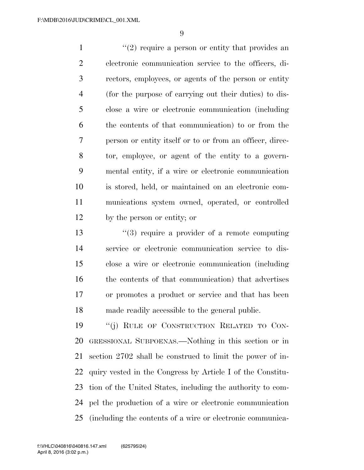$\frac{1}{2}$  require a person or entity that provides an electronic communication service to the officers, di- rectors, employees, or agents of the person or entity (for the purpose of carrying out their duties) to dis- close a wire or electronic communication (including the contents of that communication) to or from the person or entity itself or to or from an officer, direc- tor, employee, or agent of the entity to a govern- mental entity, if a wire or electronic communication is stored, held, or maintained on an electronic com- munications system owned, operated, or controlled by the person or entity; or

 $\frac{13}{2}$   $\frac{13}{2}$  require a provider of a remote computing service or electronic communication service to dis- close a wire or electronic communication (including the contents of that communication) that advertises or promotes a product or service and that has been made readily accessible to the general public.

19 "(j) RULE OF CONSTRUCTION RELATED TO CON- GRESSIONAL SUBPOENAS.—Nothing in this section or in section 2702 shall be construed to limit the power of in- quiry vested in the Congress by Article I of the Constitu- tion of the United States, including the authority to com- pel the production of a wire or electronic communication (including the contents of a wire or electronic communica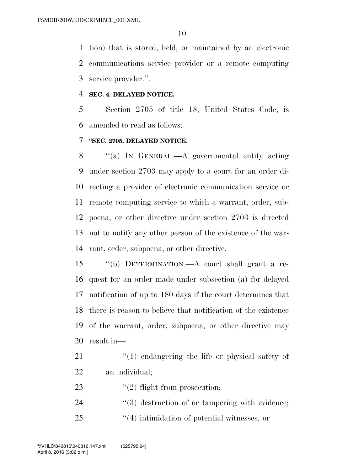tion) that is stored, held, or maintained by an electronic communications service provider or a remote computing service provider.''.

#### **SEC. 4. DELAYED NOTICE.**

 Section 2705 of title 18, United States Code, is amended to read as follows:

### **''SEC. 2705. DELAYED NOTICE.**

 ''(a) IN GENERAL.—A governmental entity acting under section 2703 may apply to a court for an order di- recting a provider of electronic communication service or remote computing service to which a warrant, order, sub- poena, or other directive under section 2703 is directed not to notify any other person of the existence of the war-rant, order, subpoena, or other directive.

 ''(b) DETERMINATION.—A court shall grant a re- quest for an order made under subsection (a) for delayed notification of up to 180 days if the court determines that there is reason to believe that notification of the existence of the warrant, order, subpoena, or other directive may result in—

21 ''(1) endangering the life or physical safety of an individual;

- 23  $\frac{1}{2}$   $\frac{1}{2}$  flight from prosecution;
- 24  $(3)$  destruction of or tampering with evidence;
- 25  $(4)$  intimidation of potential witnesses; or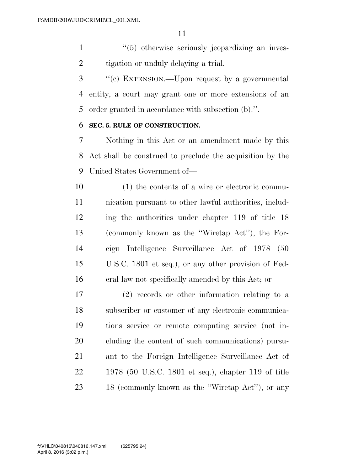1 ''(5) otherwise seriously jeopardizing an inves-2 tigation or unduly delaying a trial.

 ''(c) EXTENSION.—Upon request by a governmental entity, a court may grant one or more extensions of an order granted in accordance with subsection (b).''.

### **SEC. 5. RULE OF CONSTRUCTION.**

 Nothing in this Act or an amendment made by this Act shall be construed to preclude the acquisition by the United States Government of—

 (1) the contents of a wire or electronic commu- nication pursuant to other lawful authorities, includ- ing the authorities under chapter 119 of title 18 (commonly known as the ''Wiretap Act''), the For- eign Intelligence Surveillance Act of 1978 (50 U.S.C. 1801 et seq.), or any other provision of Fed-eral law not specifically amended by this Act; or

 (2) records or other information relating to a subscriber or customer of any electronic communica- tions service or remote computing service (not in- cluding the content of such communications) pursu- ant to the Foreign Intelligence Surveillance Act of 1978 (50 U.S.C. 1801 et seq.), chapter 119 of title 18 (commonly known as the ''Wiretap Act''), or any